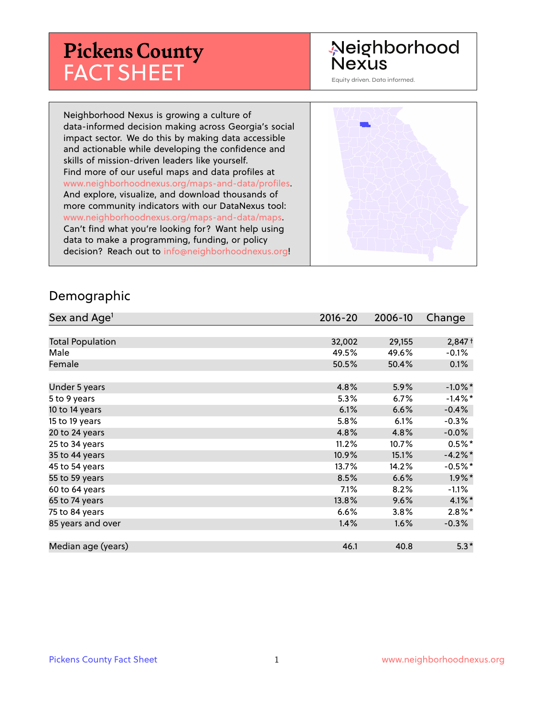# **Pickens County** FACT SHEET

# Neighborhood **Nexus**

Equity driven. Data informed.

Neighborhood Nexus is growing a culture of data-informed decision making across Georgia's social impact sector. We do this by making data accessible and actionable while developing the confidence and skills of mission-driven leaders like yourself. Find more of our useful maps and data profiles at www.neighborhoodnexus.org/maps-and-data/profiles. And explore, visualize, and download thousands of more community indicators with our DataNexus tool: www.neighborhoodnexus.org/maps-and-data/maps. Can't find what you're looking for? Want help using data to make a programming, funding, or policy decision? Reach out to [info@neighborhoodnexus.org!](mailto:info@neighborhoodnexus.org)



#### Demographic

| Sex and Age <sup>1</sup> | $2016 - 20$ | 2006-10 | Change     |
|--------------------------|-------------|---------|------------|
|                          |             |         |            |
| <b>Total Population</b>  | 32,002      | 29,155  | $2,847+$   |
| Male                     | 49.5%       | 49.6%   | $-0.1\%$   |
| Female                   | 50.5%       | 50.4%   | 0.1%       |
|                          |             |         |            |
| Under 5 years            | 4.8%        | 5.9%    | $-1.0\%$ * |
| 5 to 9 years             | 5.3%        | 6.7%    | $-1.4\%$ * |
| 10 to 14 years           | 6.1%        | 6.6%    | $-0.4%$    |
| 15 to 19 years           | 5.8%        | 6.1%    | $-0.3%$    |
| 20 to 24 years           | 4.8%        | 4.8%    | $-0.0%$    |
| 25 to 34 years           | 11.2%       | 10.7%   | $0.5%$ *   |
| 35 to 44 years           | 10.9%       | 15.1%   | $-4.2%$ *  |
| 45 to 54 years           | 13.7%       | 14.2%   | $-0.5%$ *  |
| 55 to 59 years           | 8.5%        | 6.6%    | $1.9\%$ *  |
| 60 to 64 years           | $7.1\%$     | 8.2%    | $-1.1\%$   |
| 65 to 74 years           | 13.8%       | 9.6%    | $4.1\%$ *  |
| 75 to 84 years           | 6.6%        | 3.8%    | $2.8\%$ *  |
| 85 years and over        | 1.4%        | 1.6%    | $-0.3%$    |
|                          |             |         |            |
| Median age (years)       | 46.1        | 40.8    | $5.3*$     |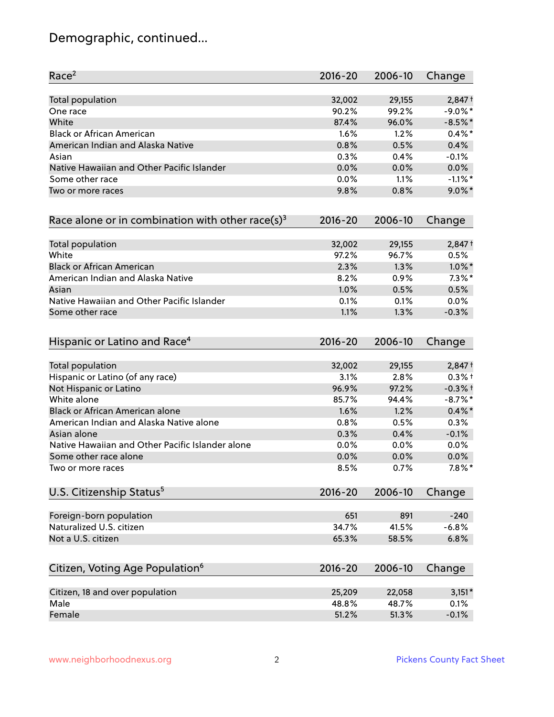# Demographic, continued...

| Race <sup>2</sup>                                            | $2016 - 20$ | 2006-10 | Change     |
|--------------------------------------------------------------|-------------|---------|------------|
| Total population                                             | 32,002      | 29,155  | $2,847+$   |
| One race                                                     | 90.2%       | 99.2%   | $-9.0\%$ * |
| White                                                        | 87.4%       | 96.0%   | $-8.5%$ *  |
| <b>Black or African American</b>                             | 1.6%        | 1.2%    | $0.4\%$ *  |
| American Indian and Alaska Native                            | 0.8%        | 0.5%    | 0.4%       |
| Asian                                                        | 0.3%        | 0.4%    | $-0.1%$    |
| Native Hawaiian and Other Pacific Islander                   | 0.0%        | 0.0%    | 0.0%       |
| Some other race                                              | 0.0%        | 1.1%    | $-1.1\%$ * |
| Two or more races                                            | 9.8%        | 0.8%    | $9.0\%$ *  |
| Race alone or in combination with other race(s) <sup>3</sup> | $2016 - 20$ | 2006-10 | Change     |
| Total population                                             | 32,002      | 29,155  | $2,847+$   |
| White                                                        | 97.2%       | 96.7%   | 0.5%       |
| <b>Black or African American</b>                             | 2.3%        | 1.3%    | $1.0\%$ *  |
| American Indian and Alaska Native                            | 8.2%        | 0.9%    | $7.3\%$ *  |
| Asian                                                        | 1.0%        | 0.5%    | 0.5%       |
| Native Hawaiian and Other Pacific Islander                   | 0.1%        | 0.1%    | 0.0%       |
| Some other race                                              | 1.1%        | 1.3%    | $-0.3%$    |
| Hispanic or Latino and Race <sup>4</sup>                     | $2016 - 20$ | 2006-10 | Change     |
| Total population                                             | 32,002      | 29,155  | $2,847+$   |
| Hispanic or Latino (of any race)                             | 3.1%        | 2.8%    | $0.3%$ +   |
| Not Hispanic or Latino                                       | 96.9%       | 97.2%   | $-0.3%$ †  |
| White alone                                                  | 85.7%       | 94.4%   | $-8.7\%$ * |
| Black or African American alone                              | 1.6%        | 1.2%    | $0.4\%$ *  |
| American Indian and Alaska Native alone                      | 0.8%        | 0.5%    | 0.3%       |
| Asian alone                                                  | 0.3%        | 0.4%    | $-0.1%$    |
| Native Hawaiian and Other Pacific Islander alone             | 0.0%        | 0.0%    | 0.0%       |
| Some other race alone                                        | 0.0%        | 0.0%    | 0.0%       |
| Two or more races                                            | 8.5%        | 0.7%    | $7.8\%$ *  |
| U.S. Citizenship Status <sup>5</sup>                         | $2016 - 20$ | 2006-10 | Change     |
| Foreign-born population                                      | 651         | 891     | $-240$     |
| Naturalized U.S. citizen                                     | 34.7%       | 41.5%   | $-6.8%$    |
| Not a U.S. citizen                                           | 65.3%       | 58.5%   | 6.8%       |
| Citizen, Voting Age Population <sup>6</sup>                  | $2016 - 20$ | 2006-10 | Change     |
|                                                              |             |         |            |
| Citizen, 18 and over population                              | 25,209      | 22,058  | $3,151*$   |
| Male                                                         | 48.8%       | 48.7%   | 0.1%       |
| Female                                                       | 51.2%       | 51.3%   | $-0.1%$    |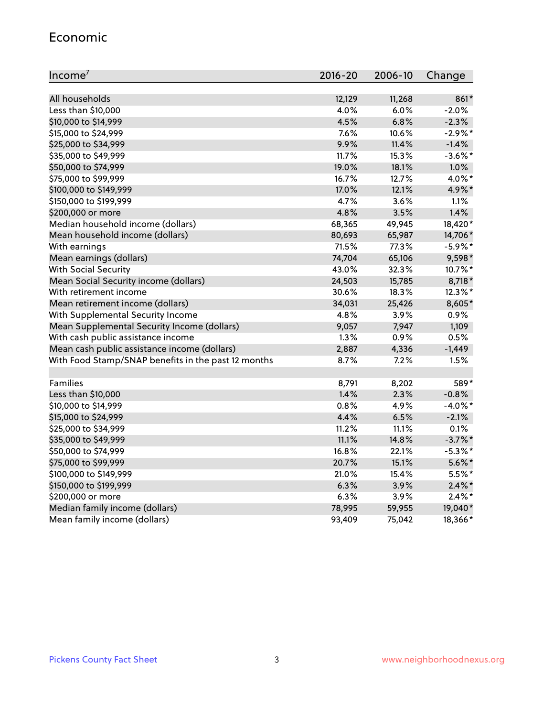#### Economic

| Income <sup>7</sup>                                 | 2016-20 | 2006-10 | Change     |
|-----------------------------------------------------|---------|---------|------------|
|                                                     |         |         |            |
| All households                                      | 12,129  | 11,268  | 861*       |
| Less than \$10,000                                  | 4.0%    | 6.0%    | $-2.0%$    |
| \$10,000 to \$14,999                                | 4.5%    | 6.8%    | $-2.3%$    |
| \$15,000 to \$24,999                                | 7.6%    | 10.6%   | $-2.9%$ *  |
| \$25,000 to \$34,999                                | 9.9%    | 11.4%   | $-1.4%$    |
| \$35,000 to \$49,999                                | 11.7%   | 15.3%   | $-3.6\%$ * |
| \$50,000 to \$74,999                                | 19.0%   | 18.1%   | 1.0%       |
| \$75,000 to \$99,999                                | 16.7%   | 12.7%   | 4.0%*      |
| \$100,000 to \$149,999                              | 17.0%   | 12.1%   | 4.9%*      |
| \$150,000 to \$199,999                              | 4.7%    | 3.6%    | 1.1%       |
| \$200,000 or more                                   | 4.8%    | 3.5%    | 1.4%       |
| Median household income (dollars)                   | 68,365  | 49,945  | 18,420*    |
| Mean household income (dollars)                     | 80,693  | 65,987  | 14,706*    |
| With earnings                                       | 71.5%   | 77.3%   | $-5.9\%$ * |
| Mean earnings (dollars)                             | 74,704  | 65,106  | 9,598*     |
| <b>With Social Security</b>                         | 43.0%   | 32.3%   | 10.7%*     |
| Mean Social Security income (dollars)               | 24,503  | 15,785  | 8,718*     |
| With retirement income                              | 30.6%   | 18.3%   | 12.3%*     |
| Mean retirement income (dollars)                    | 34,031  | 25,426  | 8,605*     |
| With Supplemental Security Income                   | 4.8%    | 3.9%    | 0.9%       |
| Mean Supplemental Security Income (dollars)         | 9,057   | 7,947   | 1,109      |
| With cash public assistance income                  | 1.3%    | 0.9%    | 0.5%       |
| Mean cash public assistance income (dollars)        | 2,887   | 4,336   | $-1,449$   |
| With Food Stamp/SNAP benefits in the past 12 months | 8.7%    | 7.2%    | 1.5%       |
|                                                     |         |         |            |
| Families                                            | 8,791   | 8,202   | 589*       |
| Less than \$10,000                                  | 1.4%    | 2.3%    | $-0.8%$    |
| \$10,000 to \$14,999                                | 0.8%    | 4.9%    | $-4.0\%$ * |
| \$15,000 to \$24,999                                | 4.4%    | 6.5%    | $-2.1%$    |
| \$25,000 to \$34,999                                | 11.2%   | 11.1%   | 0.1%       |
| \$35,000 to \$49,999                                | 11.1%   | 14.8%   | $-3.7\%$ * |
| \$50,000 to \$74,999                                | 16.8%   | 22.1%   | $-5.3\%$ * |
| \$75,000 to \$99,999                                | 20.7%   | 15.1%   | $5.6\%$ *  |
| \$100,000 to \$149,999                              | 21.0%   | 15.4%   | 5.5%*      |
| \$150,000 to \$199,999                              | 6.3%    | 3.9%    | $2.4\%$ *  |
| \$200,000 or more                                   | 6.3%    | 3.9%    | $2.4\%$ *  |
| Median family income (dollars)                      | 78,995  | 59,955  | 19,040*    |
| Mean family income (dollars)                        | 93,409  | 75,042  | 18,366*    |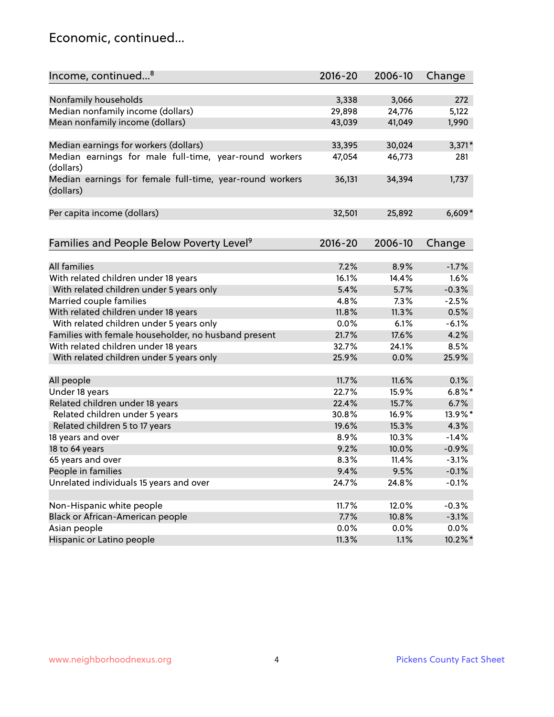#### Economic, continued...

| Income, continued <sup>8</sup>                                        | $2016 - 20$   | 2006-10 | Change    |
|-----------------------------------------------------------------------|---------------|---------|-----------|
|                                                                       |               |         |           |
| Nonfamily households                                                  | 3,338         | 3,066   | 272       |
| Median nonfamily income (dollars)                                     | 29,898        | 24,776  | 5,122     |
| Mean nonfamily income (dollars)                                       | 43,039        | 41,049  | 1,990     |
| Median earnings for workers (dollars)                                 | 33,395        | 30,024  | $3,371*$  |
| Median earnings for male full-time, year-round workers                | 47,054        | 46,773  | 281       |
| (dollars)                                                             |               |         |           |
| Median earnings for female full-time, year-round workers<br>(dollars) | 36,131        | 34,394  | 1,737     |
| Per capita income (dollars)                                           | 32,501        | 25,892  | $6,609*$  |
|                                                                       |               |         |           |
| Families and People Below Poverty Level <sup>9</sup>                  | 2016-20       | 2006-10 | Change    |
| <b>All families</b>                                                   |               |         |           |
|                                                                       | 7.2%          | 8.9%    | $-1.7%$   |
| With related children under 18 years                                  | 16.1%<br>5.4% | 14.4%   | 1.6%      |
| With related children under 5 years only                              |               | 5.7%    | $-0.3%$   |
| Married couple families                                               | 4.8%          | 7.3%    | $-2.5%$   |
| With related children under 18 years                                  | 11.8%         | 11.3%   | 0.5%      |
| With related children under 5 years only                              | 0.0%          | 6.1%    | $-6.1%$   |
| Families with female householder, no husband present                  | 21.7%         | 17.6%   | 4.2%      |
| With related children under 18 years                                  | 32.7%         | 24.1%   | 8.5%      |
| With related children under 5 years only                              | 25.9%         | 0.0%    | 25.9%     |
| All people                                                            | 11.7%         | 11.6%   | 0.1%      |
| Under 18 years                                                        | 22.7%         | 15.9%   | $6.8\%$ * |
| Related children under 18 years                                       | 22.4%         | 15.7%   | 6.7%      |
| Related children under 5 years                                        | 30.8%         | 16.9%   | 13.9%*    |
| Related children 5 to 17 years                                        | 19.6%         | 15.3%   | 4.3%      |
| 18 years and over                                                     | 8.9%          | 10.3%   | $-1.4%$   |
| 18 to 64 years                                                        | 9.2%          | 10.0%   | $-0.9%$   |
| 65 years and over                                                     | 8.3%          | 11.4%   | $-3.1%$   |
| People in families                                                    | 9.4%          | 9.5%    | $-0.1%$   |
| Unrelated individuals 15 years and over                               | 24.7%         | 24.8%   | $-0.1%$   |
|                                                                       |               |         |           |
| Non-Hispanic white people                                             | 11.7%         | 12.0%   | $-0.3%$   |
| Black or African-American people                                      | 7.7%          | 10.8%   | $-3.1%$   |
| Asian people                                                          | $0.0\%$       | 0.0%    | $0.0\%$   |
| Hispanic or Latino people                                             | 11.3%         | 1.1%    | 10.2%*    |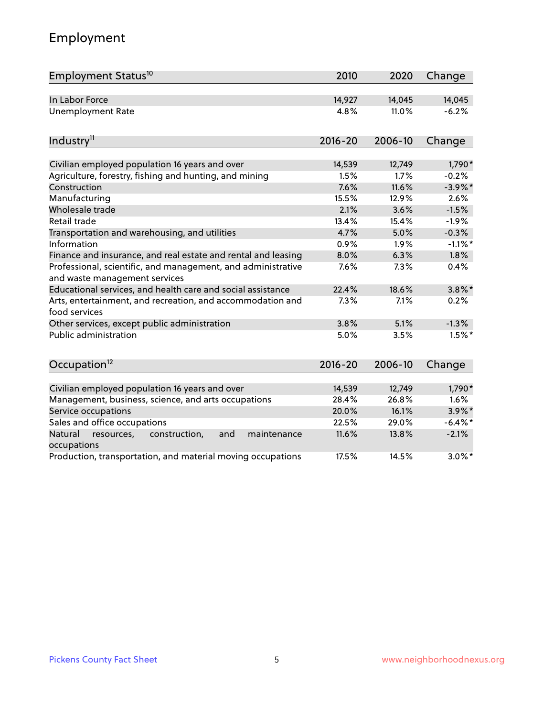# Employment

| Employment Status <sup>10</sup>                                                               | 2010           | 2020    | Change            |
|-----------------------------------------------------------------------------------------------|----------------|---------|-------------------|
| In Labor Force                                                                                | 14,927         | 14,045  | 14,045            |
| <b>Unemployment Rate</b>                                                                      | 4.8%           | 11.0%   | $-6.2%$           |
|                                                                                               |                |         |                   |
| Industry <sup>11</sup>                                                                        | $2016 - 20$    | 2006-10 | Change            |
| Civilian employed population 16 years and over                                                |                | 12,749  |                   |
| Agriculture, forestry, fishing and hunting, and mining                                        | 14,539<br>1.5% | 1.7%    | 1,790*<br>$-0.2%$ |
| Construction                                                                                  | 7.6%           | 11.6%   | $-3.9\%$ *        |
| Manufacturing                                                                                 | 15.5%          | 12.9%   | 2.6%              |
| Wholesale trade                                                                               | 2.1%           | 3.6%    | $-1.5%$           |
| Retail trade                                                                                  | 13.4%          | 15.4%   | $-1.9%$           |
| Transportation and warehousing, and utilities                                                 | 4.7%           | 5.0%    | $-0.3%$           |
| Information                                                                                   | 0.9%           | 1.9%    | $-1.1\%$ *        |
| Finance and insurance, and real estate and rental and leasing                                 | 8.0%           | 6.3%    | 1.8%              |
| Professional, scientific, and management, and administrative<br>and waste management services | 7.6%           | 7.3%    | 0.4%              |
| Educational services, and health care and social assistance                                   | 22.4%          | 18.6%   | $3.8\%$ *         |
| Arts, entertainment, and recreation, and accommodation and<br>food services                   | 7.3%           | 7.1%    | 0.2%              |
| Other services, except public administration                                                  | 3.8%           | 5.1%    | $-1.3%$           |
| Public administration                                                                         | 5.0%           | 3.5%    | $1.5%$ *          |
| Occupation <sup>12</sup>                                                                      | $2016 - 20$    | 2006-10 | Change            |
|                                                                                               |                |         |                   |
| Civilian employed population 16 years and over                                                | 14,539         | 12,749  | 1,790*            |
| Management, business, science, and arts occupations                                           | 28.4%          | 26.8%   | 1.6%              |
| Service occupations                                                                           | 20.0%          | 16.1%   | $3.9\%$ *         |
| Sales and office occupations                                                                  | 22.5%          | 29.0%   | $-6.4\%$ *        |
| Natural<br>construction,<br>resources,<br>and<br>maintenance<br>occupations                   | 11.6%          | 13.8%   | $-2.1%$           |
| Production, transportation, and material moving occupations                                   | 17.5%          | 14.5%   | $3.0\%$ *         |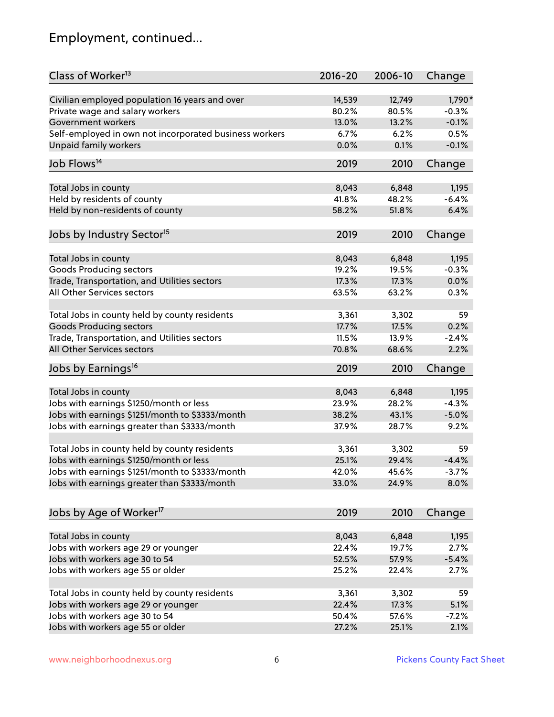# Employment, continued...

| Class of Worker <sup>13</sup>                                           | $2016 - 20$ | 2006-10 | Change   |
|-------------------------------------------------------------------------|-------------|---------|----------|
| Civilian employed population 16 years and over                          | 14,539      | 12,749  | 1,790*   |
| Private wage and salary workers                                         | 80.2%       | 80.5%   | $-0.3%$  |
| Government workers                                                      | 13.0%       | 13.2%   | $-0.1%$  |
| Self-employed in own not incorporated business workers                  | 6.7%        | 6.2%    | 0.5%     |
| Unpaid family workers                                                   | 0.0%        | 0.1%    | $-0.1%$  |
| Job Flows <sup>14</sup>                                                 | 2019        | 2010    | Change   |
|                                                                         |             |         |          |
| Total Jobs in county                                                    | 8,043       | 6,848   | 1,195    |
| Held by residents of county                                             | 41.8%       | 48.2%   | $-6.4%$  |
| Held by non-residents of county                                         | 58.2%       | 51.8%   | 6.4%     |
| Jobs by Industry Sector <sup>15</sup>                                   | 2019        | 2010    | Change   |
| Total Jobs in county                                                    | 8,043       | 6,848   | 1,195    |
|                                                                         | 19.2%       | 19.5%   | $-0.3%$  |
| Goods Producing sectors<br>Trade, Transportation, and Utilities sectors | 17.3%       | 17.3%   | 0.0%     |
|                                                                         |             |         |          |
| All Other Services sectors                                              | 63.5%       | 63.2%   | 0.3%     |
| Total Jobs in county held by county residents                           | 3,361       | 3,302   | 59       |
| <b>Goods Producing sectors</b>                                          | 17.7%       | 17.5%   | 0.2%     |
| Trade, Transportation, and Utilities sectors                            | 11.5%       | 13.9%   | $-2.4%$  |
| All Other Services sectors                                              | 70.8%       | 68.6%   | 2.2%     |
| Jobs by Earnings <sup>16</sup>                                          | 2019        | 2010    | Change   |
|                                                                         |             |         |          |
| Total Jobs in county                                                    | 8,043       | 6,848   | 1,195    |
| Jobs with earnings \$1250/month or less                                 | 23.9%       | 28.2%   | $-4.3%$  |
| Jobs with earnings \$1251/month to \$3333/month                         | 38.2%       | 43.1%   | $-5.0%$  |
| Jobs with earnings greater than \$3333/month                            | 37.9%       | 28.7%   | 9.2%     |
| Total Jobs in county held by county residents                           | 3,361       | 3,302   | 59       |
| Jobs with earnings \$1250/month or less                                 | 25.1%       | 29.4%   | $-4.4%$  |
| Jobs with earnings \$1251/month to \$3333/month                         | 42.0%       | 45.6%   | $-3.7\%$ |
| Jobs with earnings greater than \$3333/month                            | 33.0%       | 24.9%   | 8.0%     |
|                                                                         |             |         |          |
| Jobs by Age of Worker <sup>17</sup>                                     | 2019        | 2010    | Change   |
| Total Jobs in county                                                    | 8,043       | 6,848   | 1,195    |
| Jobs with workers age 29 or younger                                     | 22.4%       | 19.7%   | 2.7%     |
| Jobs with workers age 30 to 54                                          | 52.5%       | 57.9%   | $-5.4%$  |
| Jobs with workers age 55 or older                                       | 25.2%       | 22.4%   | 2.7%     |
|                                                                         |             |         |          |
| Total Jobs in county held by county residents                           | 3,361       | 3,302   | 59       |
| Jobs with workers age 29 or younger                                     | 22.4%       | 17.3%   | 5.1%     |
| Jobs with workers age 30 to 54                                          | 50.4%       | 57.6%   | $-7.2%$  |
| Jobs with workers age 55 or older                                       | 27.2%       | 25.1%   | 2.1%     |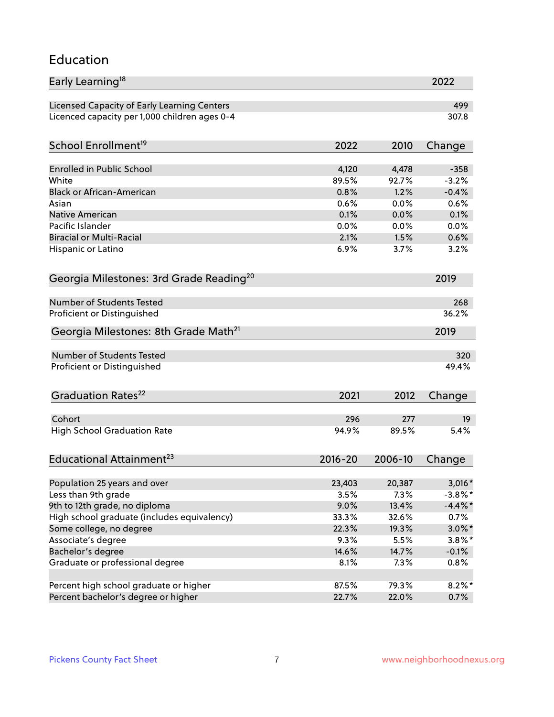#### Education

| Early Learning <sup>18</sup>                        |              |              | 2022         |
|-----------------------------------------------------|--------------|--------------|--------------|
| Licensed Capacity of Early Learning Centers         |              |              | 499          |
| Licenced capacity per 1,000 children ages 0-4       |              |              | 307.8        |
| School Enrollment <sup>19</sup>                     | 2022         | 2010         | Change       |
|                                                     |              |              |              |
| <b>Enrolled in Public School</b>                    | 4,120        | 4,478        | $-358$       |
| White                                               | 89.5%        | 92.7%        | $-3.2%$      |
| <b>Black or African-American</b>                    | 0.8%         | 1.2%         | $-0.4%$      |
| Asian<br><b>Native American</b>                     | 0.6%         | 0.0%         | 0.6%<br>0.1% |
|                                                     | 0.1%<br>0.0% | 0.0%         |              |
| Pacific Islander<br><b>Biracial or Multi-Racial</b> | 2.1%         | 0.0%<br>1.5% | 0.0%<br>0.6% |
|                                                     |              |              |              |
| Hispanic or Latino                                  | 6.9%         | 3.7%         | 3.2%         |
| Georgia Milestones: 3rd Grade Reading <sup>20</sup> |              |              | 2019         |
| Number of Students Tested                           |              |              | 268          |
| Proficient or Distinguished                         |              |              | 36.2%        |
| Georgia Milestones: 8th Grade Math <sup>21</sup>    |              |              | 2019         |
|                                                     |              |              |              |
| <b>Number of Students Tested</b>                    |              |              | 320          |
| Proficient or Distinguished                         |              |              | 49.4%        |
| Graduation Rates <sup>22</sup>                      | 2021         | 2012         | Change       |
| Cohort                                              | 296          | 277          | 19           |
| <b>High School Graduation Rate</b>                  | 94.9%        | 89.5%        | 5.4%         |
|                                                     |              |              |              |
| Educational Attainment <sup>23</sup>                | $2016 - 20$  | 2006-10      | Change       |
| Population 25 years and over                        | 23,403       | 20,387       | $3,016*$     |
| Less than 9th grade                                 | 3.5%         | 7.3%         | $-3.8\%$ *   |
| 9th to 12th grade, no diploma                       | 9.0%         | 13.4%        | $-4.4\%$ *   |
| High school graduate (includes equivalency)         | 33.3%        | 32.6%        | 0.7%         |
| Some college, no degree                             | 22.3%        | 19.3%        | $3.0\%$ *    |
| Associate's degree                                  | 9.3%         | 5.5%         | $3.8\%$ *    |
| Bachelor's degree                                   | 14.6%        | 14.7%        | $-0.1%$      |
| Graduate or professional degree                     | 8.1%         | 7.3%         | 0.8%         |
|                                                     |              |              |              |
| Percent high school graduate or higher              | 87.5%        | 79.3%        | $8.2\%$ *    |
| Percent bachelor's degree or higher                 | 22.7%        | 22.0%        | 0.7%         |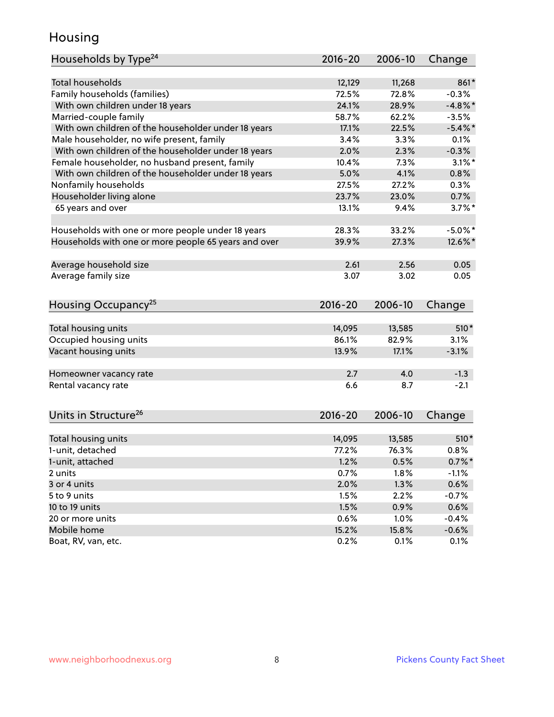#### Housing

| Total households<br>12,129<br>861*<br>11,268<br>Family households (families)<br>72.5%<br>72.8%<br>$-0.3%$<br>With own children under 18 years<br>24.1%<br>$-4.8\%$ *<br>28.9%<br>Married-couple family<br>58.7%<br>62.2%<br>$-3.5%$<br>With own children of the householder under 18 years<br>17.1%<br>22.5%<br>$-5.4\%$ *<br>Male householder, no wife present, family<br>3.4%<br>3.3%<br>0.1%<br>With own children of the householder under 18 years<br>2.0%<br>2.3%<br>$-0.3%$<br>Female householder, no husband present, family<br>10.4%<br>7.3%<br>$3.1\%$ *<br>With own children of the householder under 18 years<br>5.0%<br>4.1%<br>0.8%<br>Nonfamily households<br>27.5%<br>27.2%<br>0.3%<br>Householder living alone<br>23.7%<br>0.7%<br>23.0%<br>65 years and over<br>13.1%<br>$3.7\%$ *<br>9.4%<br>33.2%<br>Households with one or more people under 18 years<br>28.3%<br>$-5.0\%$ *<br>Households with one or more people 65 years and over<br>39.9%<br>27.3%<br>12.6%*<br>Average household size<br>2.61<br>2.56<br>0.05<br>Average family size<br>3.07<br>3.02<br>0.05<br>Housing Occupancy <sup>25</sup><br>$2016 - 20$<br>2006-10<br>Change<br>Total housing units<br>13,585<br>$510*$<br>14,095<br>Occupied housing units<br>86.1%<br>82.9%<br>3.1%<br>Vacant housing units<br>17.1%<br>13.9%<br>$-3.1%$<br>2.7<br>4.0<br>$-1.3$<br>Homeowner vacancy rate<br>$-2.1$<br>Rental vacancy rate<br>6.6<br>8.7<br>Units in Structure <sup>26</sup><br>$2016 - 20$<br>2006-10<br>Change<br>Total housing units<br>14,095<br>13,585<br>$510*$<br>1-unit, detached<br>77.2%<br>76.3%<br>0.8%<br>1-unit, attached<br>1.2%<br>0.5%<br>$0.7\%$ *<br>0.7%<br>1.8%<br>$-1.1%$<br>2 units<br>0.6%<br>3 or 4 units<br>2.0%<br>1.3%<br>1.5%<br>2.2%<br>$-0.7%$<br>5 to 9 units<br>1.5%<br>0.9%<br>0.6%<br>10 to 19 units<br>0.6%<br>1.0%<br>20 or more units<br>$-0.4%$<br>Mobile home<br>15.2%<br>15.8%<br>$-0.6%$ | Households by Type <sup>24</sup> | 2016-20 | 2006-10 | Change |
|-----------------------------------------------------------------------------------------------------------------------------------------------------------------------------------------------------------------------------------------------------------------------------------------------------------------------------------------------------------------------------------------------------------------------------------------------------------------------------------------------------------------------------------------------------------------------------------------------------------------------------------------------------------------------------------------------------------------------------------------------------------------------------------------------------------------------------------------------------------------------------------------------------------------------------------------------------------------------------------------------------------------------------------------------------------------------------------------------------------------------------------------------------------------------------------------------------------------------------------------------------------------------------------------------------------------------------------------------------------------------------------------------------------------------------------------------------------------------------------------------------------------------------------------------------------------------------------------------------------------------------------------------------------------------------------------------------------------------------------------------------------------------------------------------------------------------------------------------------------------------------------------------------------------------|----------------------------------|---------|---------|--------|
|                                                                                                                                                                                                                                                                                                                                                                                                                                                                                                                                                                                                                                                                                                                                                                                                                                                                                                                                                                                                                                                                                                                                                                                                                                                                                                                                                                                                                                                                                                                                                                                                                                                                                                                                                                                                                                                                                                                       |                                  |         |         |        |
|                                                                                                                                                                                                                                                                                                                                                                                                                                                                                                                                                                                                                                                                                                                                                                                                                                                                                                                                                                                                                                                                                                                                                                                                                                                                                                                                                                                                                                                                                                                                                                                                                                                                                                                                                                                                                                                                                                                       |                                  |         |         |        |
|                                                                                                                                                                                                                                                                                                                                                                                                                                                                                                                                                                                                                                                                                                                                                                                                                                                                                                                                                                                                                                                                                                                                                                                                                                                                                                                                                                                                                                                                                                                                                                                                                                                                                                                                                                                                                                                                                                                       |                                  |         |         |        |
|                                                                                                                                                                                                                                                                                                                                                                                                                                                                                                                                                                                                                                                                                                                                                                                                                                                                                                                                                                                                                                                                                                                                                                                                                                                                                                                                                                                                                                                                                                                                                                                                                                                                                                                                                                                                                                                                                                                       |                                  |         |         |        |
|                                                                                                                                                                                                                                                                                                                                                                                                                                                                                                                                                                                                                                                                                                                                                                                                                                                                                                                                                                                                                                                                                                                                                                                                                                                                                                                                                                                                                                                                                                                                                                                                                                                                                                                                                                                                                                                                                                                       |                                  |         |         |        |
|                                                                                                                                                                                                                                                                                                                                                                                                                                                                                                                                                                                                                                                                                                                                                                                                                                                                                                                                                                                                                                                                                                                                                                                                                                                                                                                                                                                                                                                                                                                                                                                                                                                                                                                                                                                                                                                                                                                       |                                  |         |         |        |
|                                                                                                                                                                                                                                                                                                                                                                                                                                                                                                                                                                                                                                                                                                                                                                                                                                                                                                                                                                                                                                                                                                                                                                                                                                                                                                                                                                                                                                                                                                                                                                                                                                                                                                                                                                                                                                                                                                                       |                                  |         |         |        |
|                                                                                                                                                                                                                                                                                                                                                                                                                                                                                                                                                                                                                                                                                                                                                                                                                                                                                                                                                                                                                                                                                                                                                                                                                                                                                                                                                                                                                                                                                                                                                                                                                                                                                                                                                                                                                                                                                                                       |                                  |         |         |        |
|                                                                                                                                                                                                                                                                                                                                                                                                                                                                                                                                                                                                                                                                                                                                                                                                                                                                                                                                                                                                                                                                                                                                                                                                                                                                                                                                                                                                                                                                                                                                                                                                                                                                                                                                                                                                                                                                                                                       |                                  |         |         |        |
|                                                                                                                                                                                                                                                                                                                                                                                                                                                                                                                                                                                                                                                                                                                                                                                                                                                                                                                                                                                                                                                                                                                                                                                                                                                                                                                                                                                                                                                                                                                                                                                                                                                                                                                                                                                                                                                                                                                       |                                  |         |         |        |
|                                                                                                                                                                                                                                                                                                                                                                                                                                                                                                                                                                                                                                                                                                                                                                                                                                                                                                                                                                                                                                                                                                                                                                                                                                                                                                                                                                                                                                                                                                                                                                                                                                                                                                                                                                                                                                                                                                                       |                                  |         |         |        |
|                                                                                                                                                                                                                                                                                                                                                                                                                                                                                                                                                                                                                                                                                                                                                                                                                                                                                                                                                                                                                                                                                                                                                                                                                                                                                                                                                                                                                                                                                                                                                                                                                                                                                                                                                                                                                                                                                                                       |                                  |         |         |        |
|                                                                                                                                                                                                                                                                                                                                                                                                                                                                                                                                                                                                                                                                                                                                                                                                                                                                                                                                                                                                                                                                                                                                                                                                                                                                                                                                                                                                                                                                                                                                                                                                                                                                                                                                                                                                                                                                                                                       |                                  |         |         |        |
|                                                                                                                                                                                                                                                                                                                                                                                                                                                                                                                                                                                                                                                                                                                                                                                                                                                                                                                                                                                                                                                                                                                                                                                                                                                                                                                                                                                                                                                                                                                                                                                                                                                                                                                                                                                                                                                                                                                       |                                  |         |         |        |
|                                                                                                                                                                                                                                                                                                                                                                                                                                                                                                                                                                                                                                                                                                                                                                                                                                                                                                                                                                                                                                                                                                                                                                                                                                                                                                                                                                                                                                                                                                                                                                                                                                                                                                                                                                                                                                                                                                                       |                                  |         |         |        |
|                                                                                                                                                                                                                                                                                                                                                                                                                                                                                                                                                                                                                                                                                                                                                                                                                                                                                                                                                                                                                                                                                                                                                                                                                                                                                                                                                                                                                                                                                                                                                                                                                                                                                                                                                                                                                                                                                                                       |                                  |         |         |        |
|                                                                                                                                                                                                                                                                                                                                                                                                                                                                                                                                                                                                                                                                                                                                                                                                                                                                                                                                                                                                                                                                                                                                                                                                                                                                                                                                                                                                                                                                                                                                                                                                                                                                                                                                                                                                                                                                                                                       |                                  |         |         |        |
|                                                                                                                                                                                                                                                                                                                                                                                                                                                                                                                                                                                                                                                                                                                                                                                                                                                                                                                                                                                                                                                                                                                                                                                                                                                                                                                                                                                                                                                                                                                                                                                                                                                                                                                                                                                                                                                                                                                       |                                  |         |         |        |
|                                                                                                                                                                                                                                                                                                                                                                                                                                                                                                                                                                                                                                                                                                                                                                                                                                                                                                                                                                                                                                                                                                                                                                                                                                                                                                                                                                                                                                                                                                                                                                                                                                                                                                                                                                                                                                                                                                                       |                                  |         |         |        |
|                                                                                                                                                                                                                                                                                                                                                                                                                                                                                                                                                                                                                                                                                                                                                                                                                                                                                                                                                                                                                                                                                                                                                                                                                                                                                                                                                                                                                                                                                                                                                                                                                                                                                                                                                                                                                                                                                                                       |                                  |         |         |        |
|                                                                                                                                                                                                                                                                                                                                                                                                                                                                                                                                                                                                                                                                                                                                                                                                                                                                                                                                                                                                                                                                                                                                                                                                                                                                                                                                                                                                                                                                                                                                                                                                                                                                                                                                                                                                                                                                                                                       |                                  |         |         |        |
|                                                                                                                                                                                                                                                                                                                                                                                                                                                                                                                                                                                                                                                                                                                                                                                                                                                                                                                                                                                                                                                                                                                                                                                                                                                                                                                                                                                                                                                                                                                                                                                                                                                                                                                                                                                                                                                                                                                       |                                  |         |         |        |
|                                                                                                                                                                                                                                                                                                                                                                                                                                                                                                                                                                                                                                                                                                                                                                                                                                                                                                                                                                                                                                                                                                                                                                                                                                                                                                                                                                                                                                                                                                                                                                                                                                                                                                                                                                                                                                                                                                                       |                                  |         |         |        |
|                                                                                                                                                                                                                                                                                                                                                                                                                                                                                                                                                                                                                                                                                                                                                                                                                                                                                                                                                                                                                                                                                                                                                                                                                                                                                                                                                                                                                                                                                                                                                                                                                                                                                                                                                                                                                                                                                                                       |                                  |         |         |        |
|                                                                                                                                                                                                                                                                                                                                                                                                                                                                                                                                                                                                                                                                                                                                                                                                                                                                                                                                                                                                                                                                                                                                                                                                                                                                                                                                                                                                                                                                                                                                                                                                                                                                                                                                                                                                                                                                                                                       |                                  |         |         |        |
|                                                                                                                                                                                                                                                                                                                                                                                                                                                                                                                                                                                                                                                                                                                                                                                                                                                                                                                                                                                                                                                                                                                                                                                                                                                                                                                                                                                                                                                                                                                                                                                                                                                                                                                                                                                                                                                                                                                       |                                  |         |         |        |
|                                                                                                                                                                                                                                                                                                                                                                                                                                                                                                                                                                                                                                                                                                                                                                                                                                                                                                                                                                                                                                                                                                                                                                                                                                                                                                                                                                                                                                                                                                                                                                                                                                                                                                                                                                                                                                                                                                                       |                                  |         |         |        |
|                                                                                                                                                                                                                                                                                                                                                                                                                                                                                                                                                                                                                                                                                                                                                                                                                                                                                                                                                                                                                                                                                                                                                                                                                                                                                                                                                                                                                                                                                                                                                                                                                                                                                                                                                                                                                                                                                                                       |                                  |         |         |        |
|                                                                                                                                                                                                                                                                                                                                                                                                                                                                                                                                                                                                                                                                                                                                                                                                                                                                                                                                                                                                                                                                                                                                                                                                                                                                                                                                                                                                                                                                                                                                                                                                                                                                                                                                                                                                                                                                                                                       |                                  |         |         |        |
|                                                                                                                                                                                                                                                                                                                                                                                                                                                                                                                                                                                                                                                                                                                                                                                                                                                                                                                                                                                                                                                                                                                                                                                                                                                                                                                                                                                                                                                                                                                                                                                                                                                                                                                                                                                                                                                                                                                       |                                  |         |         |        |
|                                                                                                                                                                                                                                                                                                                                                                                                                                                                                                                                                                                                                                                                                                                                                                                                                                                                                                                                                                                                                                                                                                                                                                                                                                                                                                                                                                                                                                                                                                                                                                                                                                                                                                                                                                                                                                                                                                                       |                                  |         |         |        |
|                                                                                                                                                                                                                                                                                                                                                                                                                                                                                                                                                                                                                                                                                                                                                                                                                                                                                                                                                                                                                                                                                                                                                                                                                                                                                                                                                                                                                                                                                                                                                                                                                                                                                                                                                                                                                                                                                                                       |                                  |         |         |        |
|                                                                                                                                                                                                                                                                                                                                                                                                                                                                                                                                                                                                                                                                                                                                                                                                                                                                                                                                                                                                                                                                                                                                                                                                                                                                                                                                                                                                                                                                                                                                                                                                                                                                                                                                                                                                                                                                                                                       |                                  |         |         |        |
|                                                                                                                                                                                                                                                                                                                                                                                                                                                                                                                                                                                                                                                                                                                                                                                                                                                                                                                                                                                                                                                                                                                                                                                                                                                                                                                                                                                                                                                                                                                                                                                                                                                                                                                                                                                                                                                                                                                       |                                  |         |         |        |
|                                                                                                                                                                                                                                                                                                                                                                                                                                                                                                                                                                                                                                                                                                                                                                                                                                                                                                                                                                                                                                                                                                                                                                                                                                                                                                                                                                                                                                                                                                                                                                                                                                                                                                                                                                                                                                                                                                                       |                                  |         |         |        |
|                                                                                                                                                                                                                                                                                                                                                                                                                                                                                                                                                                                                                                                                                                                                                                                                                                                                                                                                                                                                                                                                                                                                                                                                                                                                                                                                                                                                                                                                                                                                                                                                                                                                                                                                                                                                                                                                                                                       |                                  |         |         |        |
|                                                                                                                                                                                                                                                                                                                                                                                                                                                                                                                                                                                                                                                                                                                                                                                                                                                                                                                                                                                                                                                                                                                                                                                                                                                                                                                                                                                                                                                                                                                                                                                                                                                                                                                                                                                                                                                                                                                       | Boat, RV, van, etc.              | 0.2%    | 0.1%    | 0.1%   |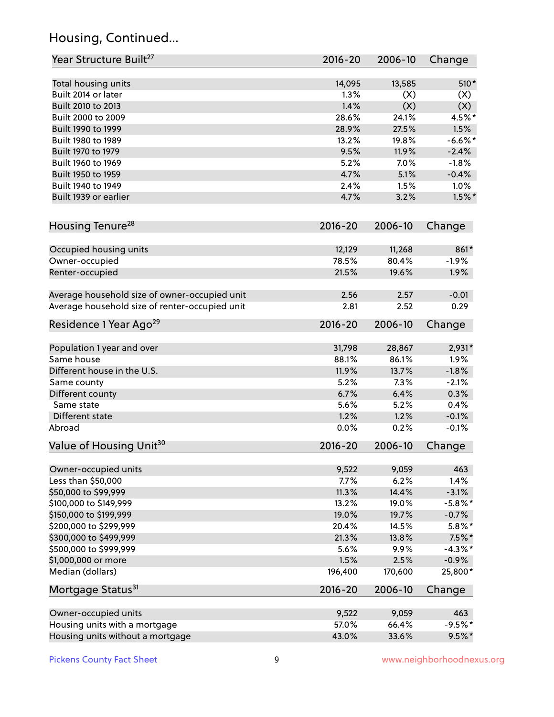# Housing, Continued...

| Year Structure Built <sup>27</sup>             | 2016-20     | 2006-10 | Change     |
|------------------------------------------------|-------------|---------|------------|
| Total housing units                            | 14,095      | 13,585  | 510*       |
| Built 2014 or later                            | 1.3%        | (X)     | (X)        |
| Built 2010 to 2013                             | 1.4%        | (X)     | (X)        |
| Built 2000 to 2009                             | 28.6%       | 24.1%   | 4.5%*      |
| Built 1990 to 1999                             | 28.9%       | 27.5%   | 1.5%       |
| Built 1980 to 1989                             | 13.2%       | 19.8%   | $-6.6%$ *  |
| Built 1970 to 1979                             | 9.5%        | 11.9%   | $-2.4%$    |
| Built 1960 to 1969                             | 5.2%        | 7.0%    | $-1.8%$    |
| Built 1950 to 1959                             | 4.7%        | 5.1%    | $-0.4%$    |
| Built 1940 to 1949                             | 2.4%        | 1.5%    | 1.0%       |
| Built 1939 or earlier                          | 4.7%        | 3.2%    | $1.5\%$ *  |
| Housing Tenure <sup>28</sup>                   | $2016 - 20$ | 2006-10 | Change     |
| Occupied housing units                         | 12,129      | 11,268  | 861*       |
| Owner-occupied                                 | 78.5%       | 80.4%   | $-1.9%$    |
| Renter-occupied                                | 21.5%       | 19.6%   | 1.9%       |
| Average household size of owner-occupied unit  | 2.56        | 2.57    | $-0.01$    |
| Average household size of renter-occupied unit | 2.81        | 2.52    | 0.29       |
| Residence 1 Year Ago <sup>29</sup>             | 2016-20     | 2006-10 | Change     |
| Population 1 year and over                     | 31,798      | 28,867  | 2,931*     |
| Same house                                     | 88.1%       | 86.1%   | 1.9%       |
| Different house in the U.S.                    | 11.9%       | 13.7%   | $-1.8%$    |
| Same county                                    | 5.2%        | 7.3%    | $-2.1%$    |
| Different county                               | 6.7%        | 6.4%    | 0.3%       |
| Same state                                     | 5.6%        | 5.2%    | 0.4%       |
| Different state                                | 1.2%        | 1.2%    | $-0.1%$    |
| Abroad                                         | 0.0%        | 0.2%    | $-0.1%$    |
| Value of Housing Unit <sup>30</sup>            | $2016 - 20$ | 2006-10 | Change     |
| Owner-occupied units                           | 9,522       | 9,059   | 463        |
| Less than \$50,000                             | 7.7%        | 6.2%    | 1.4%       |
| \$50,000 to \$99,999                           | 11.3%       | 14.4%   | $-3.1%$    |
| \$100,000 to \$149,999                         | 13.2%       | 19.0%   | $-5.8\%$ * |
| \$150,000 to \$199,999                         | 19.0%       | 19.7%   | $-0.7%$    |
| \$200,000 to \$299,999                         | 20.4%       | 14.5%   | $5.8\%$ *  |
| \$300,000 to \$499,999                         | 21.3%       | 13.8%   | $7.5\%$ *  |
| \$500,000 to \$999,999                         | 5.6%        | 9.9%    | $-4.3\%$ * |
| \$1,000,000 or more                            | 1.5%        | 2.5%    | $-0.9%$    |
| Median (dollars)                               | 196,400     | 170,600 | 25,800*    |
| Mortgage Status <sup>31</sup>                  | $2016 - 20$ | 2006-10 | Change     |
| Owner-occupied units                           | 9,522       | 9,059   | 463        |
| Housing units with a mortgage                  | 57.0%       | 66.4%   | $-9.5%$ *  |
| Housing units without a mortgage               | 43.0%       | 33.6%   | $9.5%$ *   |
|                                                |             |         |            |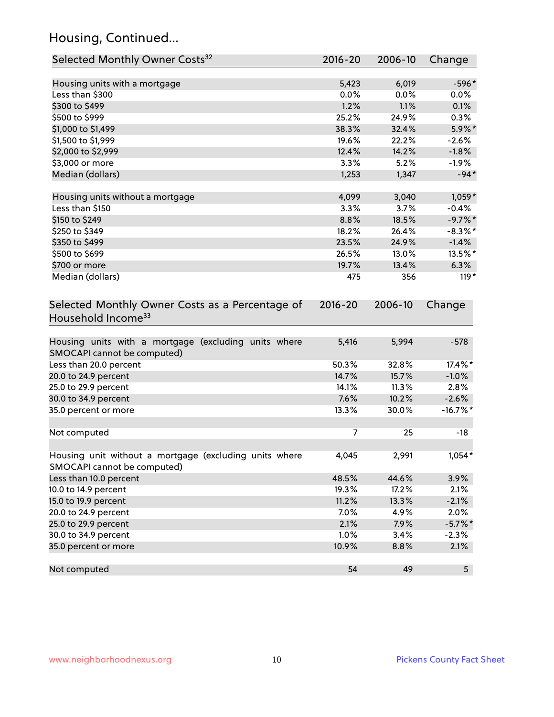# Housing, Continued...

| Selected Monthly Owner Costs <sup>32</sup>                                            | $2016 - 20$ | 2006-10 | Change      |
|---------------------------------------------------------------------------------------|-------------|---------|-------------|
| Housing units with a mortgage                                                         | 5,423       | 6,019   | $-596*$     |
| Less than \$300                                                                       | 0.0%        | 0.0%    | 0.0%        |
| \$300 to \$499                                                                        | 1.2%        | 1.1%    | 0.1%        |
| \$500 to \$999                                                                        | 25.2%       | 24.9%   | 0.3%        |
| \$1,000 to \$1,499                                                                    | 38.3%       | 32.4%   | 5.9%*       |
| \$1,500 to \$1,999                                                                    | 19.6%       | 22.2%   | $-2.6%$     |
| \$2,000 to \$2,999                                                                    | 12.4%       | 14.2%   | $-1.8%$     |
| \$3,000 or more                                                                       | 3.3%        | 5.2%    | $-1.9%$     |
| Median (dollars)                                                                      | 1,253       | 1,347   | $-94*$      |
| Housing units without a mortgage                                                      | 4,099       | 3,040   | $1,059*$    |
| Less than \$150                                                                       | 3.3%        | 3.7%    | $-0.4%$     |
| \$150 to \$249                                                                        | 8.8%        | 18.5%   | $-9.7%$ *   |
| \$250 to \$349                                                                        | 18.2%       | 26.4%   | $-8.3\%$ *  |
| \$350 to \$499                                                                        | 23.5%       | 24.9%   | $-1.4%$     |
| \$500 to \$699                                                                        | 26.5%       | 13.0%   | 13.5%*      |
| \$700 or more                                                                         | 19.7%       | 13.4%   | 6.3%        |
| Median (dollars)                                                                      | 475         | 356     | $119*$      |
| Selected Monthly Owner Costs as a Percentage of<br>Household Income <sup>33</sup>     | $2016 - 20$ | 2006-10 | Change      |
| Housing units with a mortgage (excluding units where<br>SMOCAPI cannot be computed)   | 5,416       | 5,994   | $-578$      |
| Less than 20.0 percent                                                                | 50.3%       | 32.8%   | 17.4%*      |
| 20.0 to 24.9 percent                                                                  | 14.7%       | 15.7%   | $-1.0%$     |
| 25.0 to 29.9 percent                                                                  | 14.1%       | 11.3%   | 2.8%        |
| 30.0 to 34.9 percent                                                                  | 7.6%        | 10.2%   | $-2.6%$     |
| 35.0 percent or more                                                                  | 13.3%       | 30.0%   | $-16.7\%$ * |
| Not computed                                                                          | 7           | 25      | $-18$       |
| Housing unit without a mortgage (excluding units where<br>SMOCAPI cannot be computed) | 4,045       | 2,991   | $1,054*$    |
| Less than 10.0 percent                                                                | 48.5%       | 44.6%   | 3.9%        |
| 10.0 to 14.9 percent                                                                  | 19.3%       | 17.2%   | 2.1%        |
| 15.0 to 19.9 percent                                                                  | 11.2%       | 13.3%   | $-2.1%$     |
| 20.0 to 24.9 percent                                                                  | 7.0%        | 4.9%    | 2.0%        |
| 25.0 to 29.9 percent                                                                  | 2.1%        | 7.9%    | $-5.7\%$ *  |
| 30.0 to 34.9 percent                                                                  | 1.0%        | 3.4%    | $-2.3%$     |
| 35.0 percent or more                                                                  | 10.9%       | 8.8%    | 2.1%        |
| Not computed                                                                          | 54          | 49      | 5           |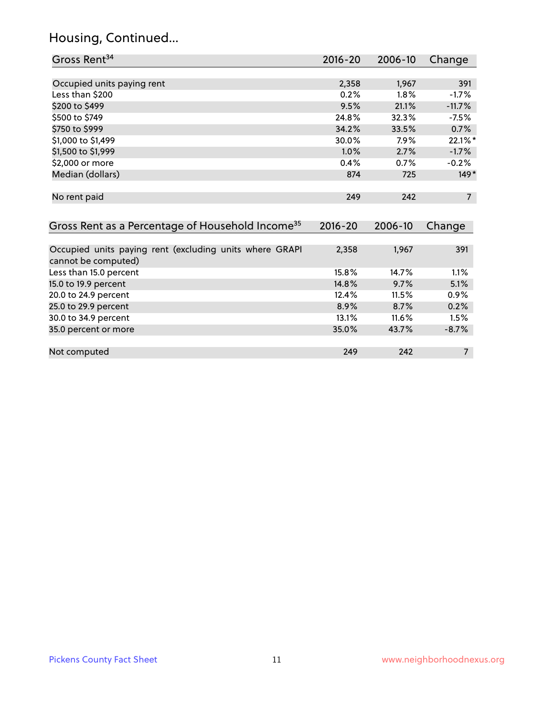# Housing, Continued...

| Gross Rent <sup>34</sup>                                     | $2016 - 20$ | 2006-10 | Change         |
|--------------------------------------------------------------|-------------|---------|----------------|
|                                                              |             |         |                |
| Occupied units paying rent                                   | 2,358       | 1,967   | 391            |
| Less than \$200                                              | 0.2%        | 1.8%    | $-1.7%$        |
| \$200 to \$499                                               | 9.5%        | 21.1%   | $-11.7%$       |
| \$500 to \$749                                               | 24.8%       | 32.3%   | $-7.5%$        |
| \$750 to \$999                                               | 34.2%       | 33.5%   | 0.7%           |
| \$1,000 to \$1,499                                           | 30.0%       | 7.9%    | 22.1%*         |
| \$1,500 to \$1,999                                           | 1.0%        | 2.7%    | $-1.7%$        |
| \$2,000 or more                                              | 0.4%        | 0.7%    | $-0.2%$        |
| Median (dollars)                                             | 874         | 725     | $149*$         |
|                                                              |             |         |                |
| No rent paid                                                 | 249         | 242     | $\overline{7}$ |
|                                                              |             |         |                |
| Gross Rent as a Percentage of Household Income <sup>35</sup> | $2016 - 20$ | 2006-10 | Change         |
|                                                              |             |         |                |
| Occupied units paying rent (excluding units where GRAPI      | 2,358       | 1,967   | 391            |
| cannot be computed)                                          |             |         |                |
| Less than 15.0 percent                                       | 15.8%       | 14.7%   | 1.1%           |
| 15.0 to 19.9 percent                                         | 14.8%       | 9.7%    | 5.1%           |
| 20.0 to 24.9 percent                                         | 12.4%       | 11.5%   | 0.9%           |
| 25.0 to 29.9 percent                                         | 8.9%        | 8.7%    | 0.2%           |
| 30.0 to 34.9 percent                                         | 13.1%       | 11.6%   | 1.5%           |
| 35.0 percent or more                                         | 35.0%       | 43.7%   | $-8.7%$        |
|                                                              |             |         |                |

Not computed 249 242 7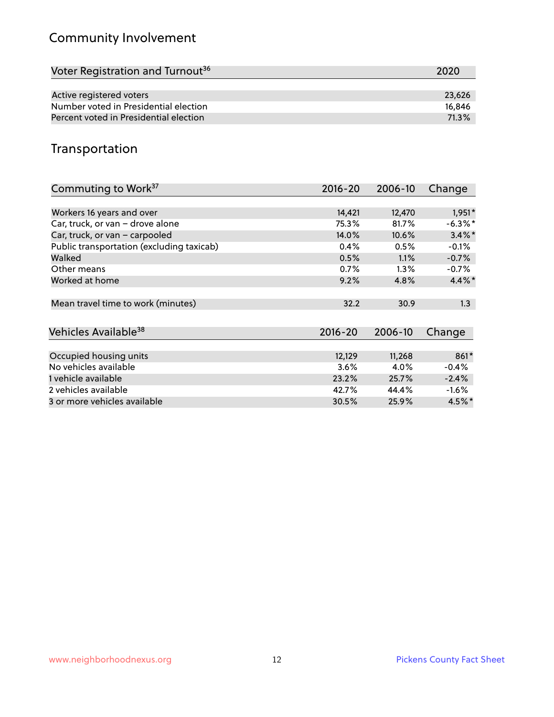# Community Involvement

| Voter Registration and Turnout <sup>36</sup> | 2020   |
|----------------------------------------------|--------|
|                                              |        |
| Active registered voters                     | 23,626 |
| Number voted in Presidential election        | 16.846 |
| Percent voted in Presidential election       | 71.3%  |

#### Transportation

| Commuting to Work <sup>37</sup>           | 2016-20     | 2006-10 | Change     |
|-------------------------------------------|-------------|---------|------------|
|                                           |             |         |            |
| Workers 16 years and over                 | 14,421      | 12,470  | $1,951*$   |
| Car, truck, or van - drove alone          | 75.3%       | 81.7%   | $-6.3\%$ * |
| Car, truck, or van - carpooled            | 14.0%       | 10.6%   | $3.4\%$ *  |
| Public transportation (excluding taxicab) | 0.4%        | 0.5%    | $-0.1%$    |
| Walked                                    | 0.5%        | 1.1%    | $-0.7%$    |
| Other means                               | 0.7%        | $1.3\%$ | $-0.7%$    |
| Worked at home                            | 9.2%        | 4.8%    | $4.4\%$ *  |
|                                           |             |         |            |
| Mean travel time to work (minutes)        | 32.2        | 30.9    | 1.3        |
|                                           |             |         |            |
| Vehicles Available <sup>38</sup>          | $2016 - 20$ | 2006-10 | Change     |
|                                           |             |         |            |
| Occupied housing units                    | 12,129      | 11,268  | 861*       |
| No vehicles available                     | 3.6%        | 4.0%    | $-0.4%$    |
| 1 vehicle available                       | 23.2%       | 25.7%   | $-2.4%$    |
| 2 vehicles available                      | 42.7%       | 44.4%   | $-1.6\%$   |
| 3 or more vehicles available              | 30.5%       | 25.9%   | $4.5\%$ *  |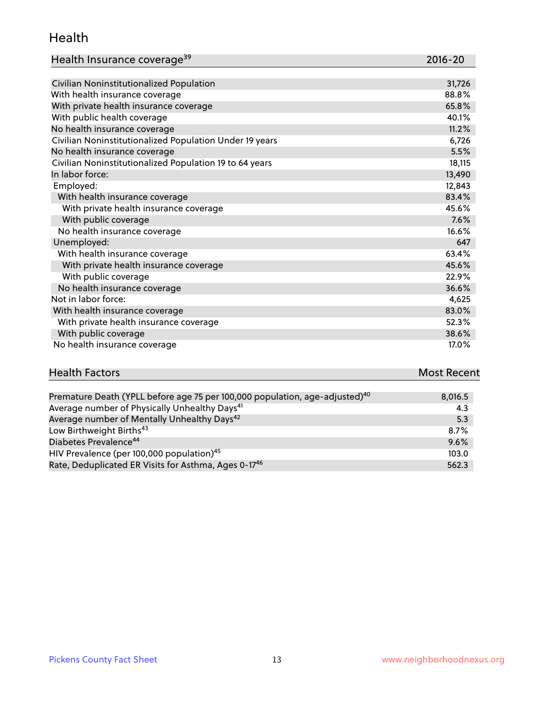#### Health

| Health Insurance coverage <sup>39</sup> | 2016-20 |
|-----------------------------------------|---------|
|-----------------------------------------|---------|

| Civilian Noninstitutionalized Population                | 31,726 |
|---------------------------------------------------------|--------|
| With health insurance coverage                          | 88.8%  |
| With private health insurance coverage                  | 65.8%  |
| With public health coverage                             | 40.1%  |
| No health insurance coverage                            | 11.2%  |
| Civilian Noninstitutionalized Population Under 19 years | 6,726  |
| No health insurance coverage                            | 5.5%   |
| Civilian Noninstitutionalized Population 19 to 64 years | 18,115 |
| In labor force:                                         | 13,490 |
| Employed:                                               | 12,843 |
| With health insurance coverage                          | 83.4%  |
| With private health insurance coverage                  | 45.6%  |
| With public coverage                                    | 7.6%   |
| No health insurance coverage                            | 16.6%  |
| Unemployed:                                             | 647    |
| With health insurance coverage                          | 63.4%  |
| With private health insurance coverage                  | 45.6%  |
| With public coverage                                    | 22.9%  |
| No health insurance coverage                            | 36.6%  |
| Not in labor force:                                     | 4,625  |
| With health insurance coverage                          | 83.0%  |
| With private health insurance coverage                  | 52.3%  |
| With public coverage                                    | 38.6%  |
| No health insurance coverage                            | 17.0%  |

# **Health Factors Most Recent** And The Control of the Control of The Control of The Control of The Control of The Control of The Control of The Control of The Control of The Control of The Control of The Control of The Contr

| Premature Death (YPLL before age 75 per 100,000 population, age-adjusted) <sup>40</sup> | 8,016.5 |
|-----------------------------------------------------------------------------------------|---------|
| Average number of Physically Unhealthy Days <sup>41</sup>                               | 4.3     |
| Average number of Mentally Unhealthy Days <sup>42</sup>                                 | 5.3     |
| Low Birthweight Births <sup>43</sup>                                                    | $8.7\%$ |
| Diabetes Prevalence <sup>44</sup>                                                       | 9.6%    |
| HIV Prevalence (per 100,000 population) <sup>45</sup>                                   | 103.0   |
| Rate, Deduplicated ER Visits for Asthma, Ages 0-17 <sup>46</sup>                        | 562.3   |